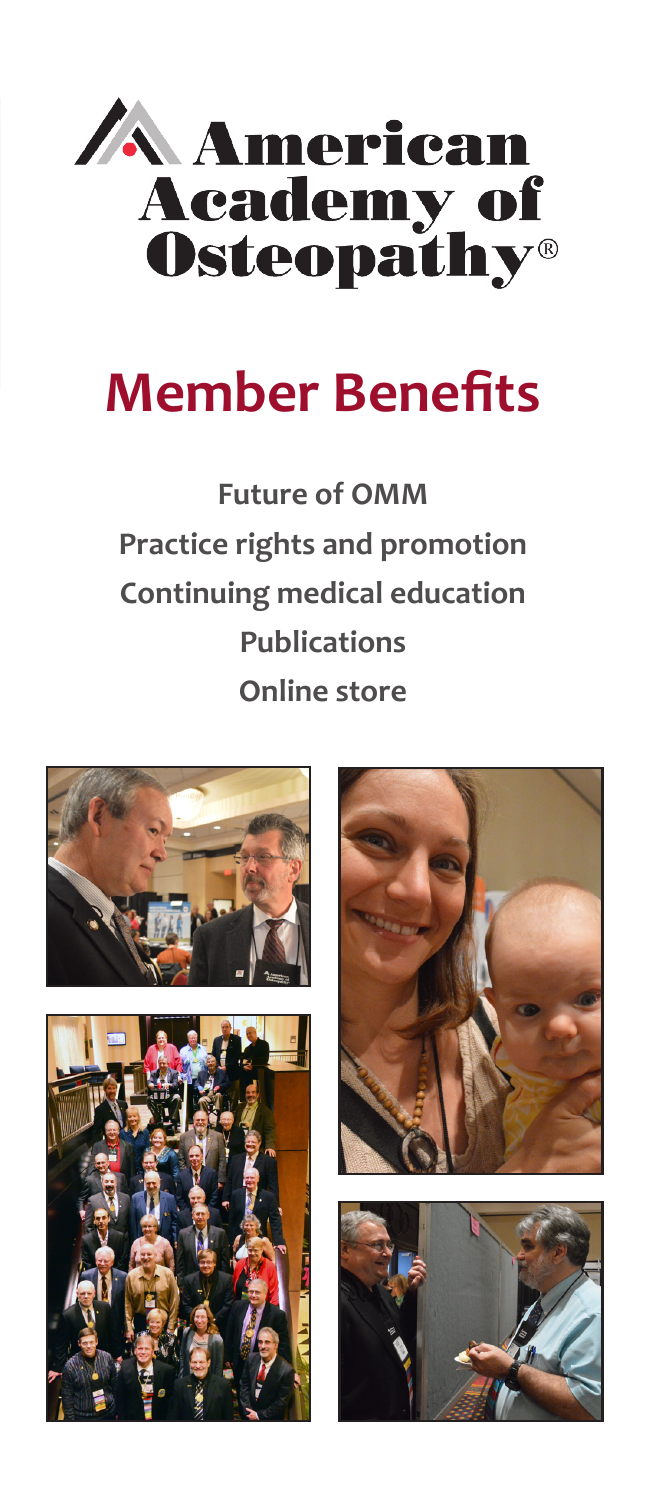

# **Member Benefits**

**Future of OMM Practice rights and promotion Continuing medical education Publications Online store**







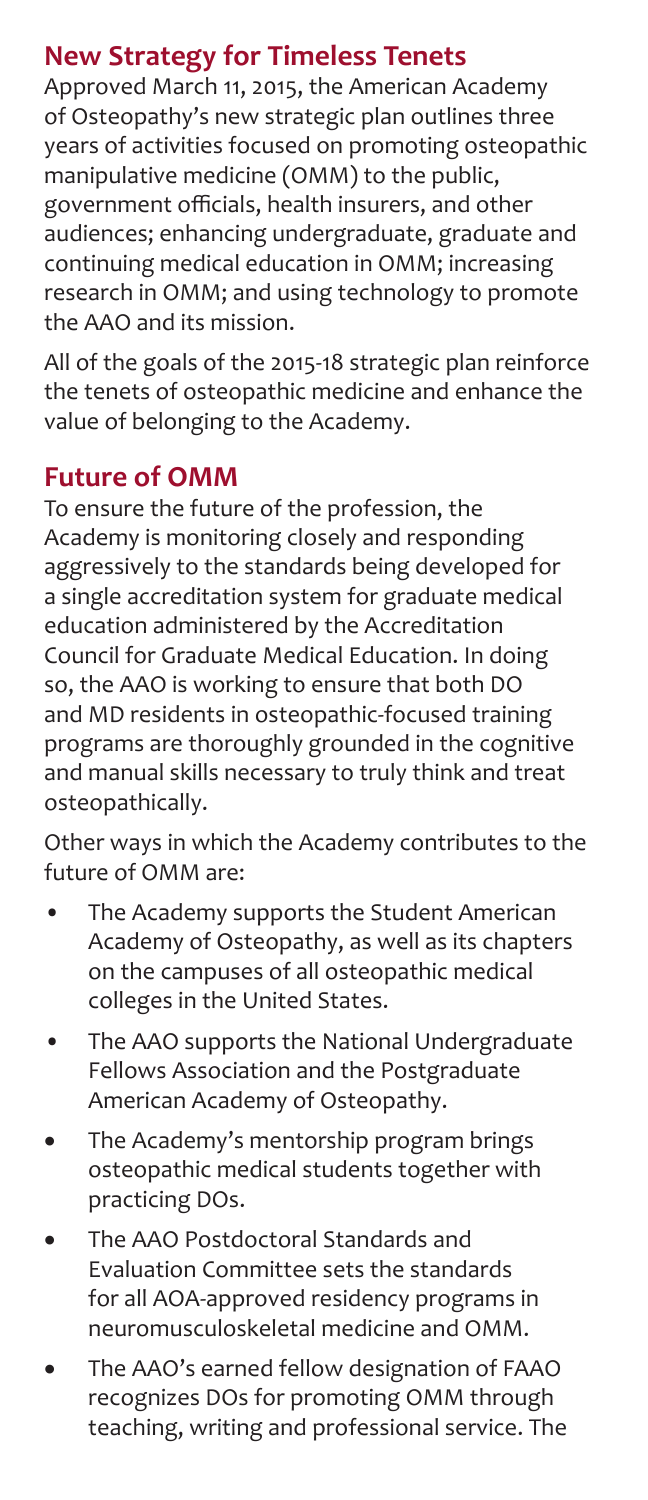### **New Strategy for Timeless Tenets**

Approved March 11, 2015, the American Academy of Osteopathy's new strategic plan outlines three years of activities focused on promoting osteopathic manipulative medicine (OMM) to the public, government officials, health insurers, and other audiences; enhancing undergraduate, graduate and continuing medical education in OMM; increasing research in OMM; and using technology to promote the AAO and its mission.

All of the goals of the 2015-18 strategic plan reinforce the tenets of osteopathic medicine and enhance the value of belonging to the Academy.

#### **Future of OMM**

To ensure the future of the profession, the Academy is monitoring closely and responding aggressively to the standards being developed for a single accreditation system for graduate medical education administered by the Accreditation Council for Graduate Medical Education. In doing so, the AAO is working to ensure that both DO and MD residents in osteopathic-focused training programs are thoroughly grounded in the cognitive and manual skills necessary to truly think and treat osteopathically.

Other ways in which the Academy contributes to the future of OMM are:

- The Academy supports the Student American Academy of Osteopathy, as well as its chapters on the campuses of all osteopathic medical colleges in the United States.
- The AAO supports the National Undergraduate Fellows Association and the Postgraduate American Academy of Osteopathy.
- The Academy's mentorship program brings osteopathic medical students together with practicing DOs.
- The AAO Postdoctoral Standards and Evaluation Committee sets the standards for all AOA-approved residency programs in neuromusculoskeletal medicine and OMM.
- The AAO's earned fellow designation of FAAO recognizes DOs for promoting OMM through teaching, writing and professional service. The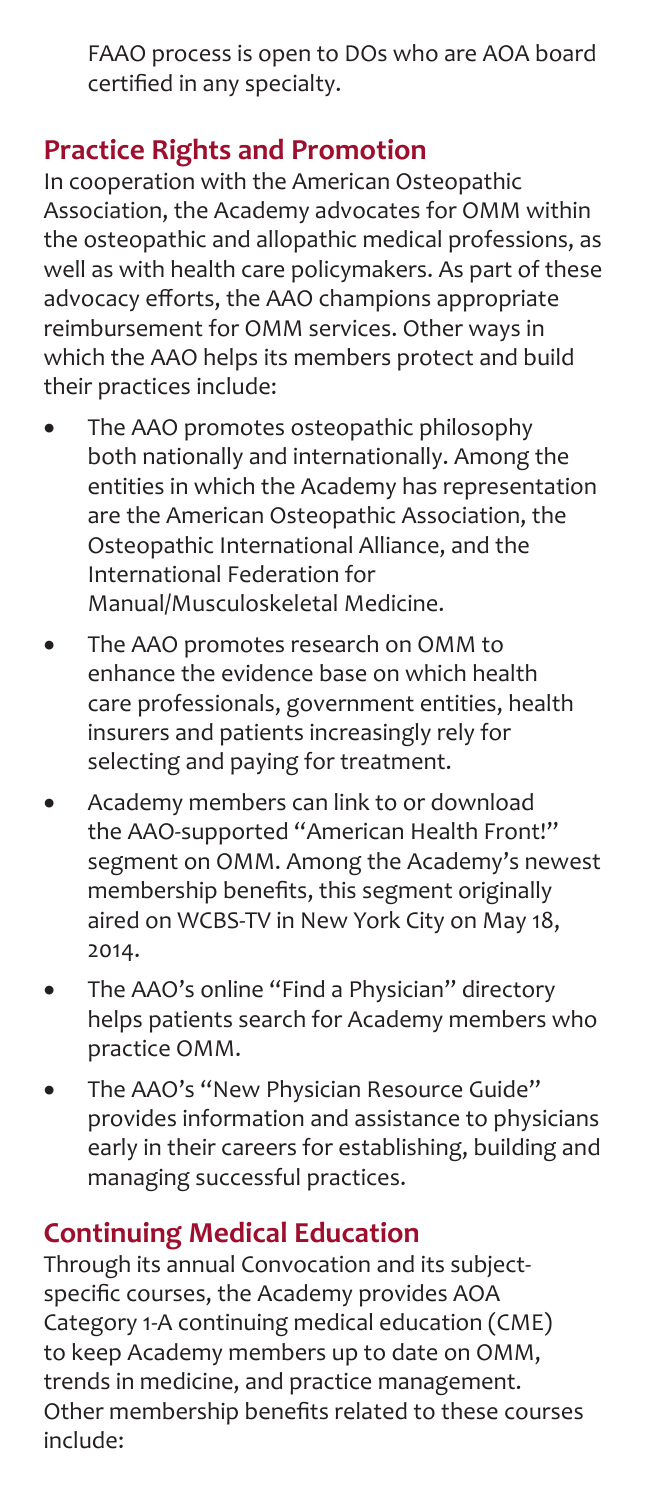FAAO process is open to DOs who are AOA board certified in any specialty.

#### **Practice Rights and Promotion**

In cooperation with the American Osteopathic Association, the Academy advocates for OMM within the osteopathic and allopathic medical professions, as well as with health care policymakers. As part of these advocacy efforts, the AAO champions appropriate reimbursement for OMM services. Other ways in which the AAO helps its members protect and build their practices include:

- The AAO promotes osteopathic philosophy both nationally and internationally. Among the entities in which the Academy has representation are the American Osteopathic Association, the Osteopathic International Alliance, and the International Federation for Manual/Musculoskeletal Medicine.
- The AAO promotes research on OMM to enhance the evidence base on which health care professionals, government entities, health insurers and patients increasingly rely for selecting and paying for treatment.
- Academy members can link to or download the AAO-supported "American Health Front!" segment on OMM. Among the Academy's newest membership benefits, this segment originally aired on WCBS-TV in New York City on May 18, 2014.
- The AAO's online "Find a Physician" directory helps patients search for Academy members who practice OMM.
- The AAO's "New Physician Resource Guide" provides information and assistance to physicians early in their careers for establishing, building and managing successful practices.

### **Continuing Medical Education**

Through its annual Convocation and its subjectspecific courses, the Academy provides AOA Category 1-A continuing medical education (CME) to keep Academy members up to date on OMM, trends in medicine, and practice management. Other membership benefits related to these courses include: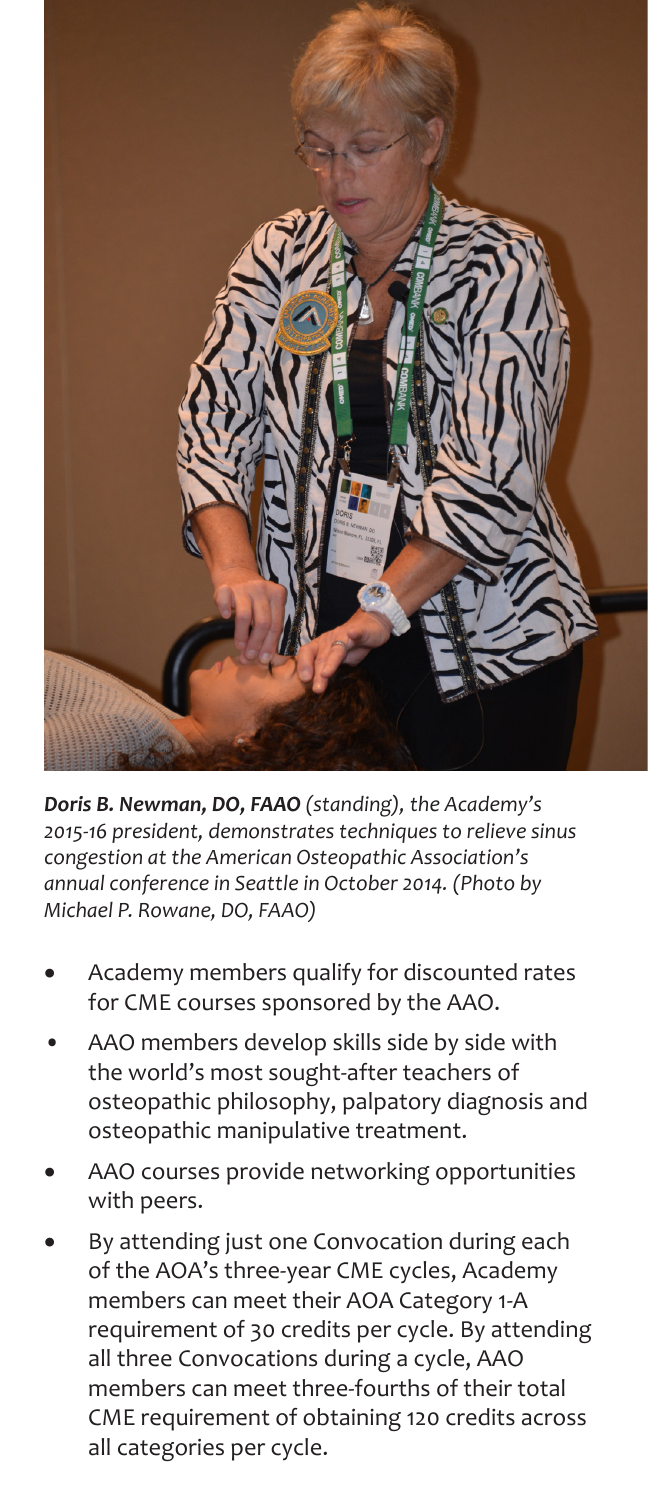

*Doris B. Newman, DO, FAAO (standing), the Academy's 2015-16 president, demonstrates techniques to relieve sinus congestion at the American Osteopathic Association's annual conference in Seattle in October 2014. (Photo by Michael P. Rowane, DO, FAAO)*

- Academy members qualify for discounted rates for CME courses sponsored by the AAO.
- AAO members develop skills side by side with the world's most sought-after teachers of osteopathic philosophy, palpatory diagnosis and osteopathic manipulative treatment.
- AAO courses provide networking opportunities with peers.
- By attending just one Convocation during each of the AOA's three-year CME cycles, Academy members can meet their AOA Category 1-A requirement of 30 credits per cycle. By attending all three Convocations during a cycle, AAO members can meet three-fourths of their total CME requirement of obtaining 120 credits across all categories per cycle.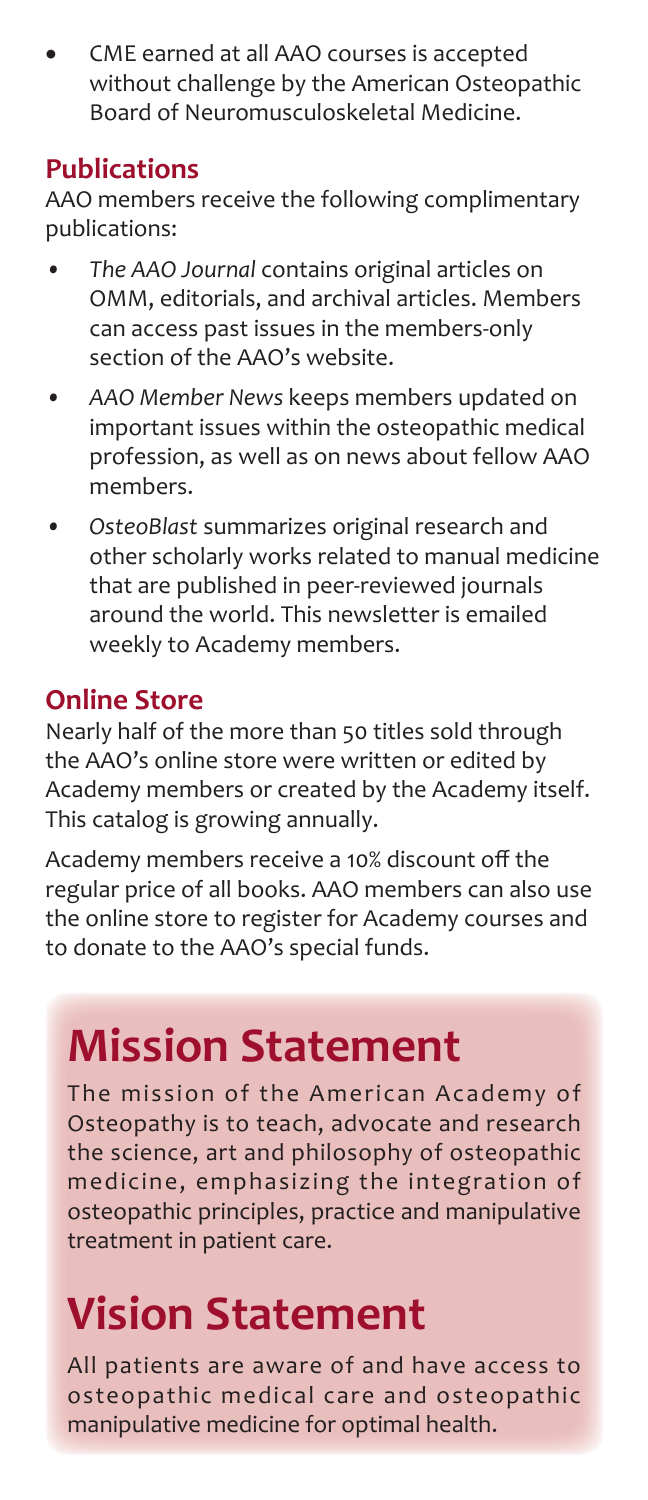CME earned at all AAO courses is accepted without challenge by the American Osteopathic Board of Neuromusculoskeletal Medicine.

#### **Publications**

AAO members receive the following complimentary publications:

- *• The AAO Journal* contains original articles on OMM, editorials, and archival articles. Members can access past issues in the members-only section of the AAO's website.
- *• AAO Member News* keeps members updated on important issues within the osteopathic medical profession, as well as on news about fellow AAO members.
- *• OsteoBlast* summarizes original research and other scholarly works related to manual medicine that are published in peer-reviewed journals around the world. This newsletter is emailed weekly to Academy members.

#### **Online Store**

Nearly half of the more than 50 titles sold through the AAO's online store were written or edited by Academy members or created by the Academy itself. This catalog is growing annually.

Academy members receive a 10% discount off the regular price of all books. AAO members can also use the online store to register for Academy courses and to donate to the AAO's special funds.

## **Mission Statement**

The mission of the American Academy of Osteopathy is to teach, advocate and research the science, art and philosophy of osteopathic medicine, emphasizing the integration of osteopathic principles, practice and manipulative treatment in patient care.

# **Vision Statement**

All patients are aware of and have access to osteopathic medical care and osteopathic manipulative medicine for optimal health.